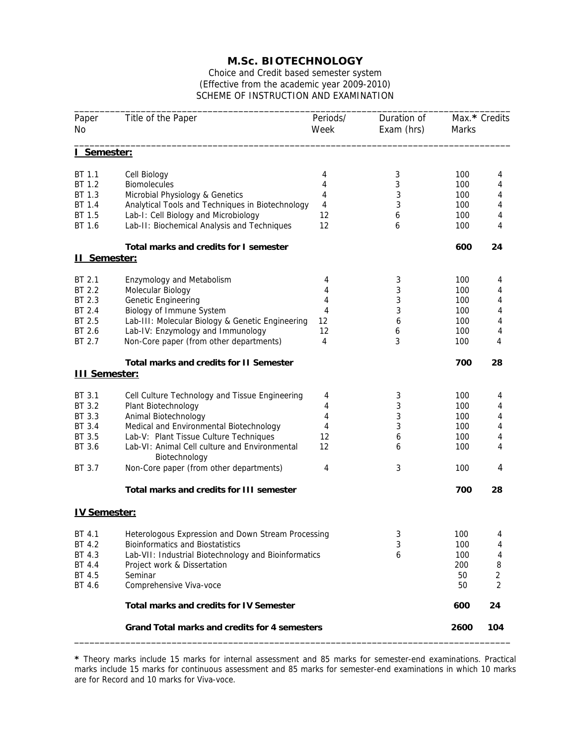## **M.Sc. BIOTECHNOLOGY**

Choice and Credit based semester system (Effective from the academic year 2009-2010) SCHEME OF INSTRUCTION AND EXAMINATION

| Paper<br>No                                                            | Title of the Paper                                                                                                          | Periods/<br>Week | Duration of<br>Exam (hrs) | Marks             | Max.* Credits  |
|------------------------------------------------------------------------|-----------------------------------------------------------------------------------------------------------------------------|------------------|---------------------------|-------------------|----------------|
| I Semester:                                                            |                                                                                                                             |                  |                           |                   |                |
| BT 1.1<br>BT 1.2                                                       | Cell Biology<br><b>Biomolecules</b>                                                                                         | 4<br>4           | 3<br>3                    | 100<br>100        | 4<br>4         |
| BT 1.3<br>BT 1.4<br>BT 1.5                                             | Microbial Physiology & Genetics<br>Analytical Tools and Techniques in Biotechnology<br>Lab-I: Cell Biology and Microbiology | 4<br>4<br>12     | 3<br>3<br>6               | 100<br>100<br>100 | 4<br>4<br>4    |
| BT 1.6                                                                 | Lab-II: Biochemical Analysis and Techniques                                                                                 | 12               | 6                         | 100               | 4              |
| <u>II Semester:</u>                                                    | Total marks and credits for I semester                                                                                      |                  |                           | 600               | 24             |
| BT 2.1<br>BT 2.2<br>BT 2.3                                             | <b>Enzymology and Metabolism</b><br>Molecular Biology<br>Genetic Engineering                                                | 4<br>4<br>4      | 3<br>3<br>3               | 100<br>100<br>100 | 4<br>4<br>4    |
| BT 2.4<br>BT 2.5<br>BT 2.6                                             | Biology of Immune System<br>Lab-III: Molecular Biology & Genetic Engineering<br>Lab-IV: Enzymology and Immunology           | 4<br>12<br>12    | 3<br>6<br>6               | 100<br>100<br>100 | 4<br>4<br>4    |
| BT 2.7                                                                 | Non-Core paper (from other departments)                                                                                     | 4                | 3                         | 100               | 4              |
| <b>Total marks and credits for II Semester</b><br><b>III Semester:</b> |                                                                                                                             |                  |                           | 700               | 28             |
| BT 3.1<br>BT 3.2                                                       | Cell Culture Technology and Tissue Engineering<br>Plant Biotechnology                                                       | 4<br>4           | 3<br>3                    | 100<br>100        | 4<br>4         |
| BT 3.3<br>BT 3.4<br>BT 3.5                                             | Animal Biotechnology<br>Medical and Environmental Biotechnology<br>Lab-V: Plant Tissue Culture Techniques                   | 4<br>4<br>12     | 3<br>3<br>6               | 100<br>100<br>100 | 4<br>4<br>4    |
| BT 3.6<br>BT 3.7                                                       | Lab-VI: Animal Cell culture and Environmental<br>Biotechnology<br>Non-Core paper (from other departments)                   | 12<br>4          | 6<br>3                    | 100<br>100        | 4<br>4         |
|                                                                        | Total marks and credits for III semester                                                                                    |                  |                           | 700               | 28             |
| <b>IV Semester:</b>                                                    |                                                                                                                             |                  |                           |                   |                |
| BT 4.1<br>BT 4.2                                                       | Heterologous Expression and Down Stream Processing<br><b>Bioinformatics and Biostatistics</b>                               |                  | 3<br>3                    | 100<br>100        | 4<br>4         |
| BT 4.3<br>BT 4.4<br>BT 4.5                                             | 6<br>Lab-VII: Industrial Biotechnology and Bioinformatics<br>Project work & Dissertation<br>Seminar                         |                  |                           | 100<br>200<br>50  | 4<br>8<br>2    |
| BT 4.6                                                                 | Comprehensive Viva-voce                                                                                                     |                  |                           | 50                | $\overline{2}$ |
|                                                                        | <b>Total marks and credits for IV Semester</b>                                                                              |                  |                           | 600               | 24             |
| Grand Total marks and credits for 4 semesters                          |                                                                                                                             |                  |                           | 2600              | 104            |

**\*** Theory marks include 15 marks for internal assessment and 85 marks for semester-end examinations. Practical marks include 15 marks for continuous assessment and 85 marks for semester-end examinations in which 10 marks are for Record and 10 marks for Viva-voce.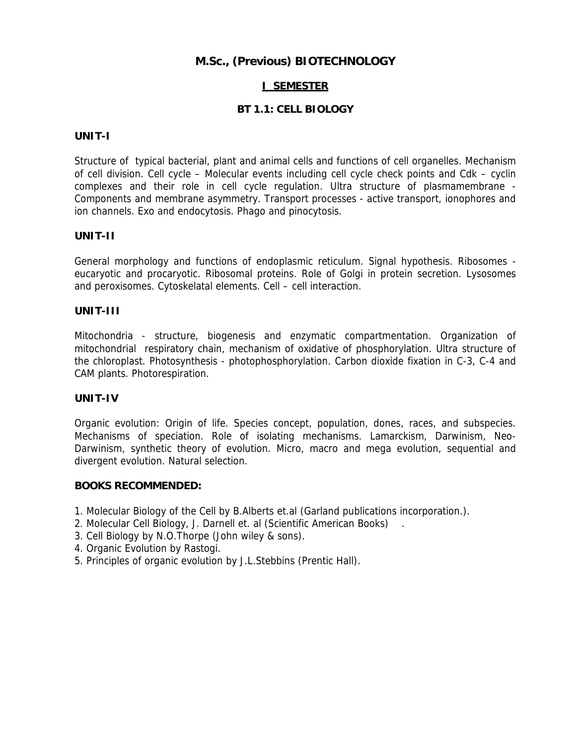# **M.Sc., (Previous) BIOTECHNOLOGY**

## **I SEMESTER**

## **BT 1.1: CELL BIOLOGY**

### **UNIT-I**

Structure of typical bacterial, plant and animal cells and functions of cell organelles. Mechanism of cell division. Cell cycle – Molecular events including cell cycle check points and Cdk – cyclin complexes and their role in cell cycle regulation. Ultra structure of plasmamembrane - Components and membrane asymmetry. Transport processes - active transport, ionophores and ion channels. Exo and endocytosis. Phago and pinocytosis.

#### **UNIT-II**

General morphology and functions of endoplasmic reticulum. Signal hypothesis. Ribosomes eucaryotic and procaryotic. Ribosomal proteins. Role of Golgi in protein secretion. Lysosomes and peroxisomes. Cytoskelatal elements. Cell – cell interaction.

#### **UNIT-III**

Mitochondria - structure, biogenesis and enzymatic compartmentation. Organization of mitochondrial respiratory chain, mechanism of oxidative of phosphorylation. Ultra structure of the chloroplast. Photosynthesis - photophosphorylation. Carbon dioxide fixation in C-3, C-4 and CAM plants. Photorespiration.

### **UNIT-IV**

Organic evolution: Origin of life. Species concept, population, dones, races, and subspecies. Mechanisms of speciation. Role of isolating mechanisms. Lamarckism, Darwinism, Neo-Darwinism, synthetic theory of evolution. Micro, macro and mega evolution, sequential and divergent evolution. Natural selection.

- 1. Molecular Biology of the Cell by B.Alberts et.al (Garland publications incorporation.).
- 2. Molecular Cell Biology, J. Darnell et. al (Scientific American Books) .
- 3. Cell Biology by N.O.Thorpe (John wiley & sons).
- 4. Organic Evolution by Rastogi.
- 5. Principles of organic evolution by J.L.Stebbins (Prentic Hall).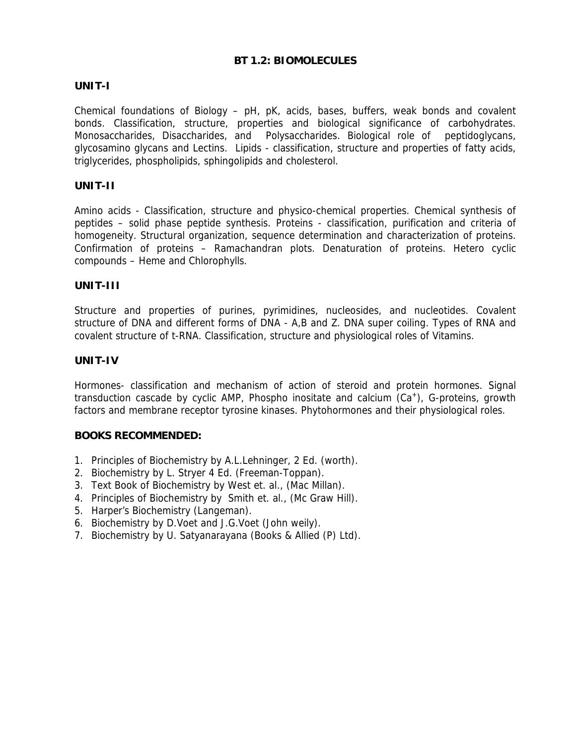## **BT 1.2: BIOMOLECULES**

## **UNIT-I**

Chemical foundations of Biology – pH, pK, acids, bases, buffers, weak bonds and covalent bonds. Classification, structure, properties and biological significance of carbohydrates. Monosaccharides, Disaccharides, and Polysaccharides. Biological role of peptidoglycans, glycosamino glycans and Lectins. Lipids - classification, structure and properties of fatty acids, triglycerides, phospholipids, sphingolipids and cholesterol.

### **UNIT-II**

Amino acids - Classification, structure and physico-chemical properties. Chemical synthesis of peptides – solid phase peptide synthesis. Proteins - classification, purification and criteria of homogeneity. Structural organization, sequence determination and characterization of proteins. Confirmation of proteins – Ramachandran plots. Denaturation of proteins. Hetero cyclic compounds – Heme and Chlorophylls.

### **UNIT-III**

Structure and properties of purines, pyrimidines, nucleosides, and nucleotides. Covalent structure of DNA and different forms of DNA - A,B and Z. DNA super coiling. Types of RNA and covalent structure of t-RNA. Classification, structure and physiological roles of Vitamins.

#### **UNIT-IV**

Hormones- classification and mechanism of action of steroid and protein hormones. Signal transduction cascade by cyclic AMP, Phospho inositate and calcium (Ca<sup>+</sup>), G-proteins, growth factors and membrane receptor tyrosine kinases. Phytohormones and their physiological roles.

- 1. Principles of Biochemistry by A.L.Lehninger, 2 Ed. (worth).
- 2. Biochemistry by L. Stryer 4 Ed. (Freeman-Toppan).
- 3. Text Book of Biochemistry by West et. al., (Mac Millan).
- 4. Principles of Biochemistry by Smith et. al., (Mc Graw Hill).
- 5. Harper's Biochemistry (Langeman).
- 6. Biochemistry by D.Voet and J.G.Voet (John weily).
- 7. Biochemistry by U. Satyanarayana (Books & Allied (P) Ltd).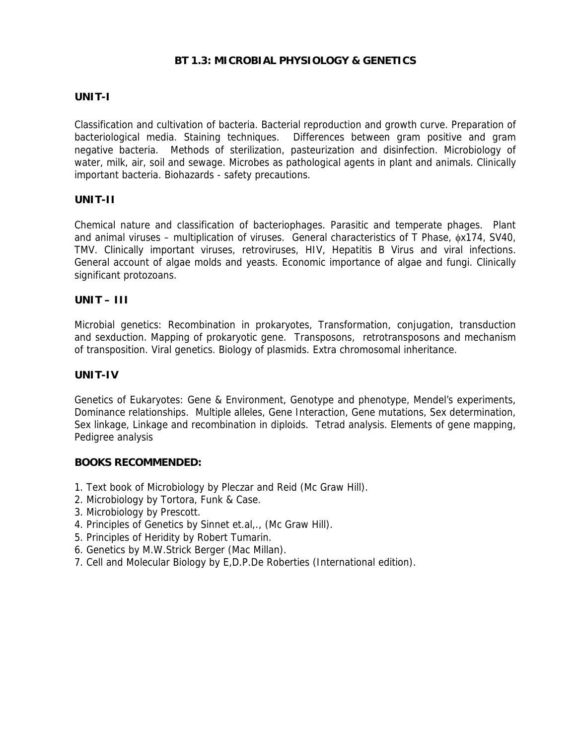## **BT 1.3: MICROBIAL PHYSIOLOGY & GENETICS**

## **UNIT-I**

Classification and cultivation of bacteria. Bacterial reproduction and growth curve. Preparation of bacteriological media. Staining techniques. Differences between gram positive and gram negative bacteria. Methods of sterilization, pasteurization and disinfection. Microbiology of water, milk, air, soil and sewage. Microbes as pathological agents in plant and animals. Clinically important bacteria. Biohazards - safety precautions.

### **UNIT-II**

Chemical nature and classification of bacteriophages. Parasitic and temperate phages. Plant and animal viruses – multiplication of viruses. General characteristics of T Phase, φx174, SV40, TMV. Clinically important viruses, retroviruses, HIV, Hepatitis B Virus and viral infections. General account of algae molds and yeasts. Economic importance of algae and fungi. Clinically significant protozoans.

### **UNIT – III**

Microbial genetics: Recombination in prokaryotes, Transformation, conjugation, transduction and sexduction. Mapping of prokaryotic gene. Transposons, retrotransposons and mechanism of transposition. Viral genetics. Biology of plasmids. Extra chromosomal inheritance.

### **UNIT-IV**

Genetics of Eukaryotes: Gene & Environment, Genotype and phenotype, Mendel's experiments, Dominance relationships. Multiple alleles, Gene Interaction, Gene mutations, Sex determination, Sex linkage, Linkage and recombination in diploids. Tetrad analysis. Elements of gene mapping, Pedigree analysis

- 1. Text book of Microbiology by Pleczar and Reid (Mc Graw Hill).
- 2. Microbiology by Tortora, Funk & Case.
- 3. Microbiology by Prescott.
- 4. Principles of Genetics by Sinnet et.al,., (Mc Graw Hill).
- 5. Principles of Heridity by Robert Tumarin.
- 6. Genetics by M.W.Strick Berger (Mac Millan).
- 7. Cell and Molecular Biology by E,D.P.De Roberties (International edition).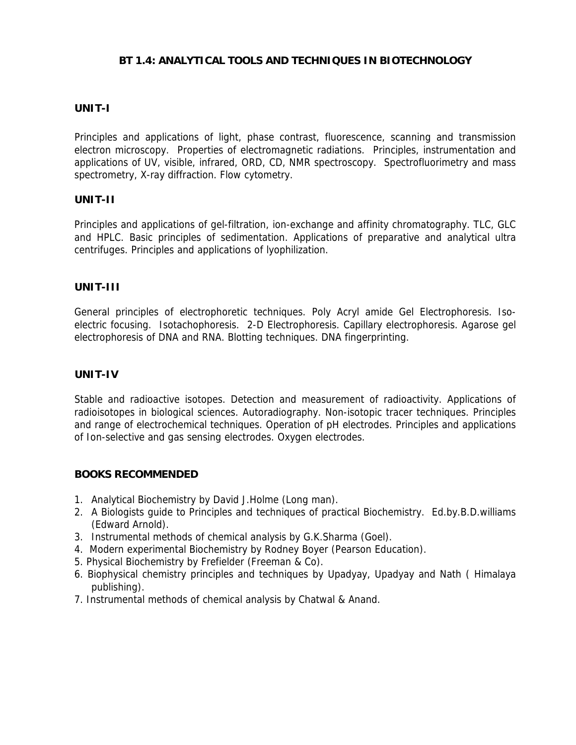## **BT 1.4: ANALYTICAL TOOLS AND TECHNIQUES IN BIOTECHNOLOGY**

## **UNIT-I**

Principles and applications of light, phase contrast, fluorescence, scanning and transmission electron microscopy. Properties of electromagnetic radiations. Principles, instrumentation and applications of UV, visible, infrared, ORD, CD, NMR spectroscopy. Spectrofluorimetry and mass spectrometry, X-ray diffraction. Flow cytometry.

### **UNIT-II**

Principles and applications of gel-filtration, ion-exchange and affinity chromatography. TLC, GLC and HPLC. Basic principles of sedimentation. Applications of preparative and analytical ultra centrifuges. Principles and applications of lyophilization.

## **UNIT-III**

General principles of electrophoretic techniques. Poly Acryl amide Gel Electrophoresis. Isoelectric focusing. Isotachophoresis. 2-D Electrophoresis. Capillary electrophoresis. Agarose gel electrophoresis of DNA and RNA. Blotting techniques. DNA fingerprinting.

### **UNIT-IV**

Stable and radioactive isotopes. Detection and measurement of radioactivity. Applications of radioisotopes in biological sciences. Autoradiography. Non-isotopic tracer techniques. Principles and range of electrochemical techniques. Operation of pH electrodes. Principles and applications of Ion-selective and gas sensing electrodes. Oxygen electrodes.

- 1. Analytical Biochemistry by David J.Holme (Long man).
- 2. A Biologists guide to Principles and techniques of practical Biochemistry. Ed.by.B.D.williams (Edward Arnold).
- 3. Instrumental methods of chemical analysis by G.K.Sharma (Goel).
- 4. Modern experimental Biochemistry by Rodney Boyer (Pearson Education).
- 5. Physical Biochemistry by Frefielder (Freeman & Co).
- 6. Biophysical chemistry principles and techniques by Upadyay, Upadyay and Nath ( Himalaya publishing).
- 7. Instrumental methods of chemical analysis by Chatwal & Anand.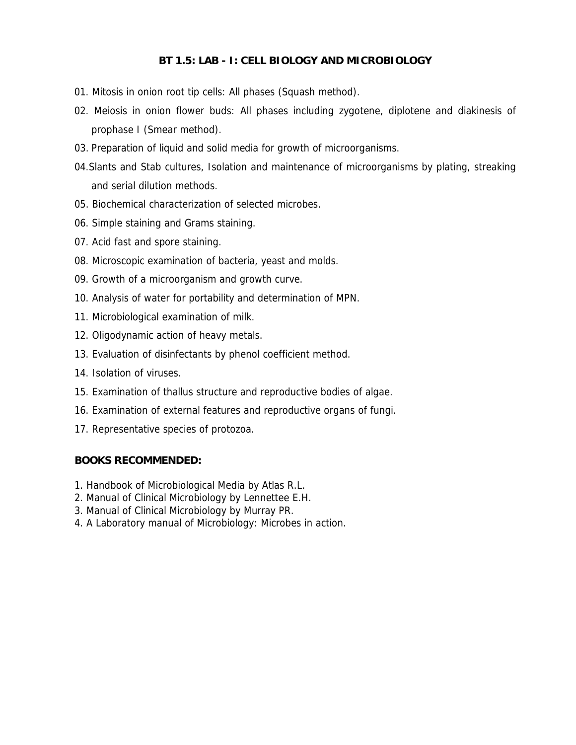## **BT 1.5: LAB - I: CELL BIOLOGY AND MICROBIOLOGY**

- 01. Mitosis in onion root tip cells: All phases (Squash method).
- 02. Meiosis in onion flower buds: All phases including zygotene, diplotene and diakinesis of prophase I (Smear method).
- 03. Preparation of liquid and solid media for growth of microorganisms.
- 04.Slants and Stab cultures, Isolation and maintenance of microorganisms by plating, streaking and serial dilution methods.
- 05. Biochemical characterization of selected microbes.
- 06. Simple staining and Grams staining.
- 07. Acid fast and spore staining.
- 08. Microscopic examination of bacteria, yeast and molds.
- 09. Growth of a microorganism and growth curve.
- 10. Analysis of water for portability and determination of MPN.
- 11. Microbiological examination of milk.
- 12. Oligodynamic action of heavy metals.
- 13. Evaluation of disinfectants by phenol coefficient method.
- 14. Isolation of viruses.
- 15. Examination of thallus structure and reproductive bodies of algae.
- 16. Examination of external features and reproductive organs of fungi.
- 17. Representative species of protozoa.

- 1. Handbook of Microbiological Media by Atlas R.L.
- 2. Manual of Clinical Microbiology by Lennettee E.H.
- 3. Manual of Clinical Microbiology by Murray PR.
- 4. A Laboratory manual of Microbiology: Microbes in action.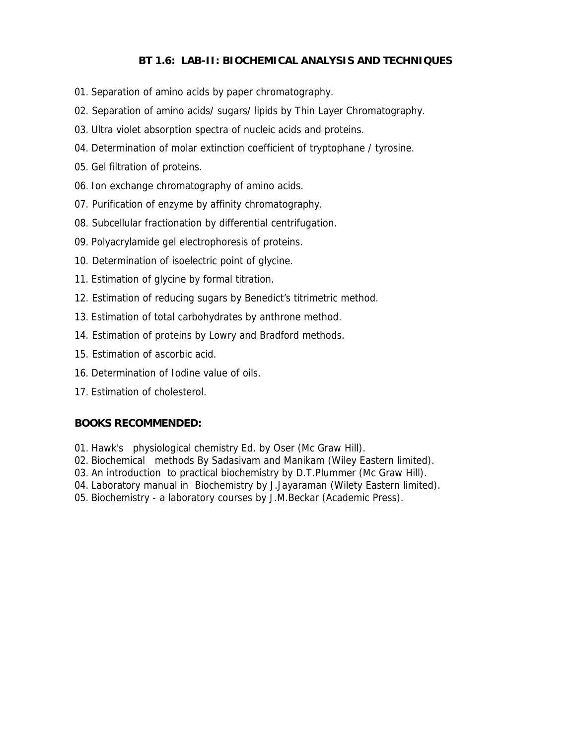# **BT 1.6: LAB-II: BIOCHEMICAL ANALYSIS AND TECHNIQUES**

- 01. Separation of amino acids by paper chromatography.
- 02. Separation of amino acids/ sugars/ lipids by Thin Layer Chromatography.
- 03. Ultra violet absorption spectra of nucleic acids and proteins.
- 04. Determination of molar extinction coefficient of tryptophane / tyrosine.
- 05. Gel filtration of proteins.
- 06. Ion exchange chromatography of amino acids.
- 07. Purification of enzyme by affinity chromatography.
- 08. Subcellular fractionation by differential centrifugation.
- 09. Polyacrylamide gel electrophoresis of proteins.
- 10. Determination of isoelectric point of glycine.
- 11. Estimation of glycine by formal titration.
- 12. Estimation of reducing sugars by Benedict's titrimetric method.
- 13. Estimation of total carbohydrates by anthrone method.
- 14. Estimation of proteins by Lowry and Bradford methods.
- 15. Estimation of ascorbic acid.
- 16. Determination of Iodine value of oils.
- 17. Estimation of cholesterol.

- 01. Hawk's physiological chemistry Ed. by Oser (Mc Graw Hill).
- 02. Biochemical methods By Sadasivam and Manikam (Wiley Eastern limited).
- 03. An introduction to practical biochemistry by D.T.Plummer (Mc Graw Hill).
- 04. Laboratory manual in Biochemistry by J.Jayaraman (Wilety Eastern limited).
- 05. Biochemistry a laboratory courses by J.M.Beckar (Academic Press).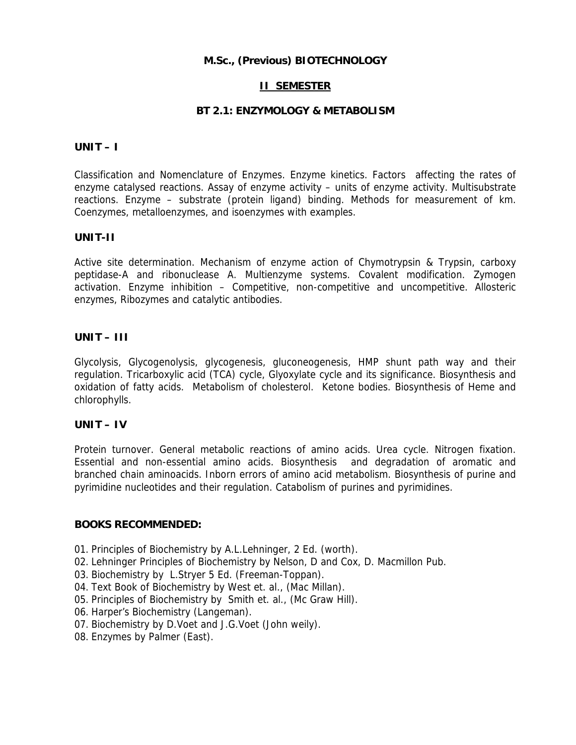## **M.Sc., (Previous) BIOTECHNOLOGY**

## **II SEMESTER**

## **BT 2.1: ENZYMOLOGY & METABOLISM**

## **UNIT – I**

Classification and Nomenclature of Enzymes. Enzyme kinetics. Factors affecting the rates of enzyme catalysed reactions. Assay of enzyme activity – units of enzyme activity. Multisubstrate reactions. Enzyme – substrate (protein ligand) binding. Methods for measurement of km. Coenzymes, metalloenzymes, and isoenzymes with examples.

### **UNIT-II**

Active site determination. Mechanism of enzyme action of Chymotrypsin & Trypsin, carboxy peptidase-A and ribonuclease A. Multienzyme systems. Covalent modification. Zymogen activation. Enzyme inhibition – Competitive, non-competitive and uncompetitive. Allosteric enzymes, Ribozymes and catalytic antibodies.

## **UNIT – III**

Glycolysis, Glycogenolysis, glycogenesis, gluconeogenesis, HMP shunt path way and their regulation. Tricarboxylic acid (TCA) cycle, Glyoxylate cycle and its significance. Biosynthesis and oxidation of fatty acids. Metabolism of cholesterol. Ketone bodies. Biosynthesis of Heme and chlorophylls.

### **UNIT – IV**

Protein turnover. General metabolic reactions of amino acids. Urea cycle. Nitrogen fixation. Essential and non-essential amino acids. Biosynthesis and degradation of aromatic and branched chain aminoacids. Inborn errors of amino acid metabolism. Biosynthesis of purine and pyrimidine nucleotides and their regulation. Catabolism of purines and pyrimidines.

- 01. Principles of Biochemistry by A.L.Lehninger, 2 Ed. (worth).
- 02. Lehninger Principles of Biochemistry by Nelson, D and Cox, D. Macmillon Pub.
- 03. Biochemistry by L.Stryer 5 Ed. (Freeman-Toppan).
- 04. Text Book of Biochemistry by West et. al., (Mac Millan).
- 05. Principles of Biochemistry by Smith et. al., (Mc Graw Hill).
- 06. Harper's Biochemistry (Langeman).
- 07. Biochemistry by D.Voet and J.G.Voet (John weily).
- 08. Enzymes by Palmer (East).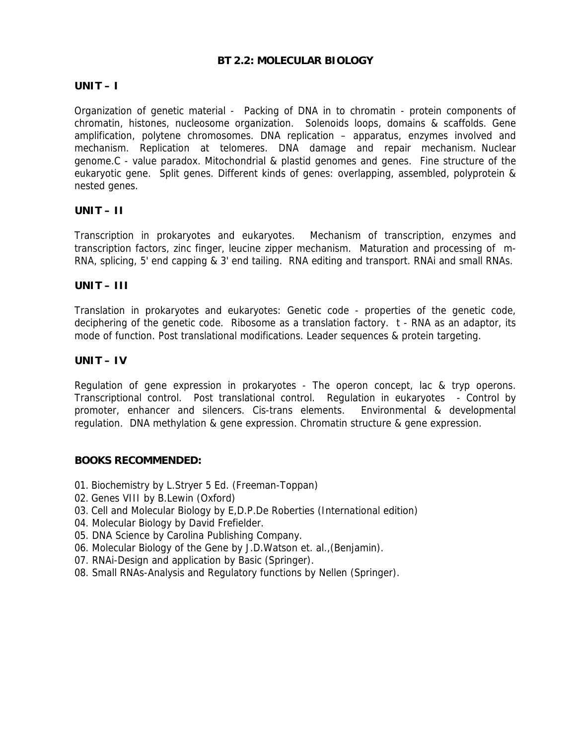## **BT 2.2: MOLECULAR BIOLOGY**

# **UNIT – I**

Organization of genetic material - Packing of DNA in to chromatin - protein components of chromatin, histones, nucleosome organization. Solenoids loops, domains & scaffolds. Gene amplification, polytene chromosomes. DNA replication – apparatus, enzymes involved and mechanism. Replication at telomeres. DNA damage and repair mechanism. Nuclear genome.C - value paradox. Mitochondrial & plastid genomes and genes. Fine structure of the eukaryotic gene. Split genes. Different kinds of genes: overlapping, assembled, polyprotein & nested genes.

## **UNIT – II**

Transcription in prokaryotes and eukaryotes. Mechanism of transcription, enzymes and transcription factors, zinc finger, leucine zipper mechanism. Maturation and processing of m-RNA, splicing, 5' end capping & 3' end tailing. RNA editing and transport. RNAi and small RNAs.

### **UNIT – III**

Translation in prokaryotes and eukaryotes: Genetic code - properties of the genetic code, deciphering of the genetic code. Ribosome as a translation factory. t - RNA as an adaptor, its mode of function. Post translational modifications. Leader sequences & protein targeting.

## **UNIT – IV**

Regulation of gene expression in prokaryotes - The operon concept, lac & tryp operons. Transcriptional control. Post translational control. Regulation in eukaryotes - Control by promoter, enhancer and silencers. Cis-trans elements. Environmental & developmental regulation. DNA methylation & gene expression. Chromatin structure & gene expression.

- 01. Biochemistry by L.Stryer 5 Ed. (Freeman-Toppan)
- 02. Genes VIII by B.Lewin (Oxford)
- 03. Cell and Molecular Biology by E,D.P.De Roberties (International edition)
- 04. Molecular Biology by David Frefielder.
- 05. DNA Science by Carolina Publishing Company.
- 06. Molecular Biology of the Gene by J.D.Watson et. al.,(Benjamin).
- 07. RNAi-Design and application by Basic (Springer).
- 08. Small RNAs-Analysis and Regulatory functions by Nellen (Springer).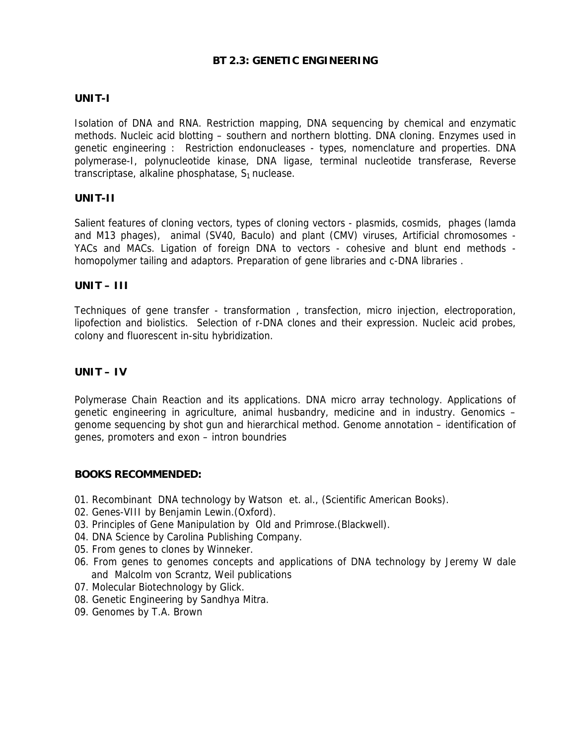## **BT 2.3: GENETIC ENGINEERING**

## **UNIT-I**

Isolation of DNA and RNA. Restriction mapping, DNA sequencing by chemical and enzymatic methods. Nucleic acid blotting – southern and northern blotting. DNA cloning. Enzymes used in genetic engineering : Restriction endonucleases - types, nomenclature and properties. DNA polymerase-I, polynucleotide kinase, DNA ligase, terminal nucleotide transferase, Reverse transcriptase, alkaline phosphatase,  $S_1$  nuclease.

### **UNIT-II**

Salient features of cloning vectors, types of cloning vectors - plasmids, cosmids, phages (lamda and M13 phages), animal (SV40, Baculo) and plant (CMV) viruses, Artificial chromosomes - YACs and MACs. Ligation of foreign DNA to vectors - cohesive and blunt end methods homopolymer tailing and adaptors. Preparation of gene libraries and c-DNA libraries .

### **UNIT – III**

Techniques of gene transfer - transformation , transfection, micro injection, electroporation, lipofection and biolistics. Selection of r-DNA clones and their expression. Nucleic acid probes, colony and fluorescent in-situ hybridization.

## **UNIT – IV**

Polymerase Chain Reaction and its applications. DNA micro array technology. Applications of genetic engineering in agriculture, animal husbandry, medicine and in industry. Genomics – genome sequencing by shot gun and hierarchical method. Genome annotation – identification of genes, promoters and exon – intron boundries

- 01. Recombinant DNA technology by Watson et. al., (Scientific American Books).
- 02. Genes-VIII by Benjamin Lewin.(Oxford).
- 03. Principles of Gene Manipulation by Old and Primrose.(Blackwell).
- 04. DNA Science by Carolina Publishing Company.
- 05. From genes to clones by Winneker.
- 06. From genes to genomes concepts and applications of DNA technology by Jeremy W dale and Malcolm von Scrantz, Weil publications
- 07. Molecular Biotechnology by Glick.
- 08. Genetic Engineering by Sandhya Mitra.
- 09. Genomes by T.A. Brown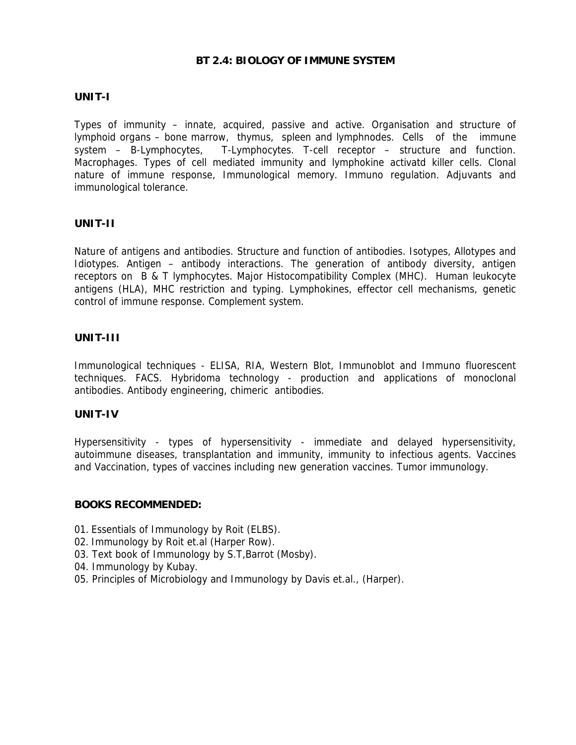### **BT 2.4: BIOLOGY OF IMMUNE SYSTEM**

## **UNIT-I**

Types of immunity – innate, acquired, passive and active. Organisation and structure of lymphoid organs – bone marrow, thymus, spleen and lymphnodes. Cells of the immune system – B-Lymphocytes, T-Lymphocytes. T-cell receptor – structure and function. Macrophages. Types of cell mediated immunity and lymphokine activatd killer cells. Clonal nature of immune response, Immunological memory. Immuno regulation. Adjuvants and immunological tolerance.

### **UNIT-II**

Nature of antigens and antibodies. Structure and function of antibodies. Isotypes, Allotypes and Idiotypes. Antigen – antibody interactions. The generation of antibody diversity, antigen receptors on B & T lymphocytes. Major Histocompatibility Complex (MHC). Human leukocyte antigens (HLA), MHC restriction and typing. Lymphokines, effector cell mechanisms, genetic control of immune response. Complement system.

### **UNIT-III**

Immunological techniques - ELISA, RIA, Western Blot, Immunoblot and Immuno fluorescent techniques. FACS. Hybridoma technology - production and applications of monoclonal antibodies. Antibody engineering, chimeric antibodies.

### **UNIT-IV**

Hypersensitivity - types of hypersensitivity - immediate and delayed hypersensitivity, autoimmune diseases, transplantation and immunity, immunity to infectious agents. Vaccines and Vaccination, types of vaccines including new generation vaccines. Tumor immunology.

- 01. Essentials of Immunology by Roit (ELBS).
- 02. Immunology by Roit et.al (Harper Row).
- 03. Text book of Immunology by S.T,Barrot (Mosby).
- 04. Immunology by Kubay.
- 05. Principles of Microbiology and Immunology by Davis et.al., (Harper).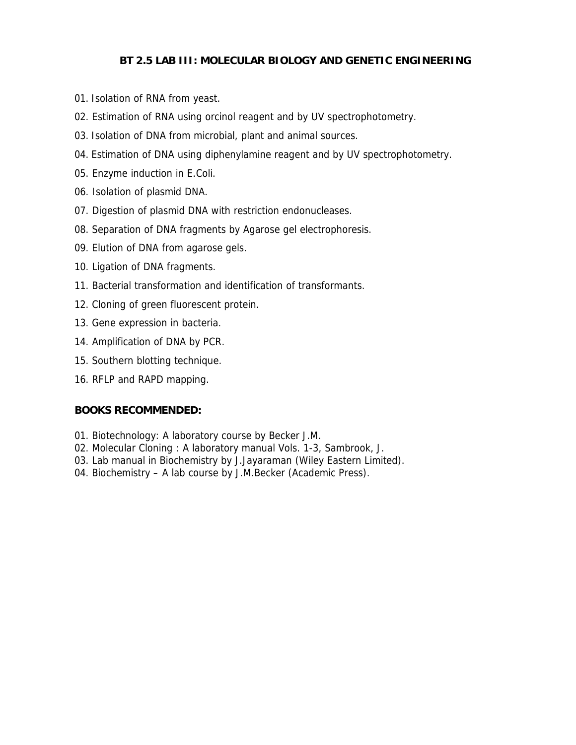# **BT 2.5 LAB III: MOLECULAR BIOLOGY AND GENETIC ENGINEERING**

- 01. Isolation of RNA from yeast.
- 02. Estimation of RNA using orcinol reagent and by UV spectrophotometry.
- 03. Isolation of DNA from microbial, plant and animal sources.
- 04. Estimation of DNA using diphenylamine reagent and by UV spectrophotometry.
- 05. Enzyme induction in E.Coli.
- 06. Isolation of plasmid DNA.
- 07. Digestion of plasmid DNA with restriction endonucleases.
- 08. Separation of DNA fragments by Agarose gel electrophoresis.
- 09. Elution of DNA from agarose gels.
- 10. Ligation of DNA fragments.
- 11. Bacterial transformation and identification of transformants.
- 12. Cloning of green fluorescent protein.
- 13. Gene expression in bacteria.
- 14. Amplification of DNA by PCR.
- 15. Southern blotting technique.
- 16. RFLP and RAPD mapping.

- 01. Biotechnology: A laboratory course by Becker J.M.
- 02. Molecular Cloning : A laboratory manual Vols. 1-3, Sambrook, J.
- 03. Lab manual in Biochemistry by J.Jayaraman (Wiley Eastern Limited).
- 04. Biochemistry A lab course by J.M.Becker (Academic Press).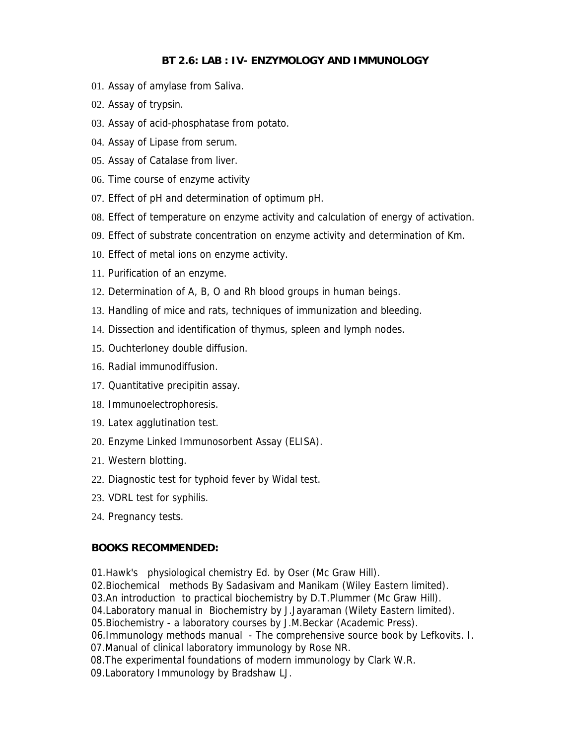## **BT 2.6: LAB : IV- ENZYMOLOGY AND IMMUNOLOGY**

- 01. Assay of amylase from Saliva.
- 02. Assay of trypsin.
- 03. Assay of acid-phosphatase from potato.
- 04. Assay of Lipase from serum.
- 05. Assay of Catalase from liver.
- 06. Time course of enzyme activity
- 07. Effect of pH and determination of optimum pH.
- 08. Effect of temperature on enzyme activity and calculation of energy of activation.
- 09. Effect of substrate concentration on enzyme activity and determination of Km.
- 10. Effect of metal ions on enzyme activity.
- 11. Purification of an enzyme.
- 12. Determination of A, B, O and Rh blood groups in human beings.
- 13. Handling of mice and rats, techniques of immunization and bleeding.
- 14. Dissection and identification of thymus, spleen and lymph nodes.
- 15. Ouchterloney double diffusion.
- 16. Radial immunodiffusion.
- 17. Quantitative precipitin assay.
- 18. Immunoelectrophoresis.
- 19. Latex agglutination test.
- 20. Enzyme Linked Immunosorbent Assay (ELISA).
- 21. Western blotting.
- 22. Diagnostic test for typhoid fever by Widal test.
- 23. VDRL test for syphilis.
- 24. Pregnancy tests.

# **BOOKS RECOMMENDED:**

01.Hawk's physiological chemistry Ed. by Oser (Mc Graw Hill).

02.Biochemical methods By Sadasivam and Manikam (Wiley Eastern limited).

03.An introduction to practical biochemistry by D.T.Plummer (Mc Graw Hill).

04.Laboratory manual in Biochemistry by J.Jayaraman (Wilety Eastern limited).

05.Biochemistry - a laboratory courses by J.M.Beckar (Academic Press).

06.Immunology methods manual - The comprehensive source book by Lefkovits. I.

07.Manual of clinical laboratory immunology by Rose NR.

08.The experimental foundations of modern immunology by Clark W.R.

09.Laboratory Immunology by Bradshaw LJ.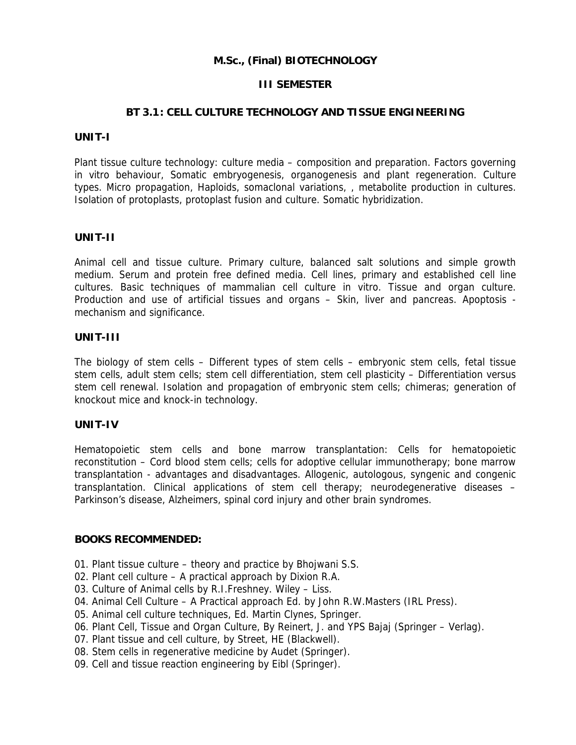## **M.Sc., (Final) BIOTECHNOLOGY**

## **III SEMESTER**

### **BT 3.1 : CELL CULTURE TECHNOLOGY AND TISSUE ENGINEERING**

#### **UNIT-I**

Plant tissue culture technology: culture media – composition and preparation. Factors governing in vitro behaviour, Somatic embryogenesis, organogenesis and plant regeneration. Culture types. Micro propagation, Haploids, somaclonal variations, , metabolite production in cultures. Isolation of protoplasts, protoplast fusion and culture. Somatic hybridization.

### **UNIT-II**

Animal cell and tissue culture. Primary culture, balanced salt solutions and simple growth medium. Serum and protein free defined media. Cell lines, primary and established cell line cultures. Basic techniques of mammalian cell culture in vitro. Tissue and organ culture. Production and use of artificial tissues and organs – Skin, liver and pancreas. Apoptosis mechanism and significance.

### **UNIT-III**

The biology of stem cells – Different types of stem cells – embryonic stem cells, fetal tissue stem cells, adult stem cells; stem cell differentiation, stem cell plasticity – Differentiation versus stem cell renewal. Isolation and propagation of embryonic stem cells; chimeras; generation of knockout mice and knock-in technology.

### **UNIT-IV**

Hematopoietic stem cells and bone marrow transplantation: Cells for hematopoietic reconstitution – Cord blood stem cells; cells for adoptive cellular immunotherapy; bone marrow transplantation - advantages and disadvantages. Allogenic, autologous, syngenic and congenic transplantation. Clinical applications of stem cell therapy; neurodegenerative diseases – Parkinson's disease, Alzheimers, spinal cord injury and other brain syndromes.

- 01. Plant tissue culture theory and practice by Bhojwani S.S.
- 02. Plant cell culture A practical approach by Dixion R.A.
- 03. Culture of Animal cells by R.I.Freshney. Wiley Liss.
- 04. Animal Cell Culture A Practical approach Ed. by John R.W.Masters (IRL Press).
- 05. Animal cell culture techniques, Ed. Martin Clynes, Springer.
- 06. Plant Cell, Tissue and Organ Culture, By Reinert, J. and YPS Bajaj (Springer Verlag).
- 07. Plant tissue and cell culture, by Street, HE (Blackwell).
- 08. Stem cells in regenerative medicine by Audet (Springer).
- 09. Cell and tissue reaction engineering by Eibl (Springer).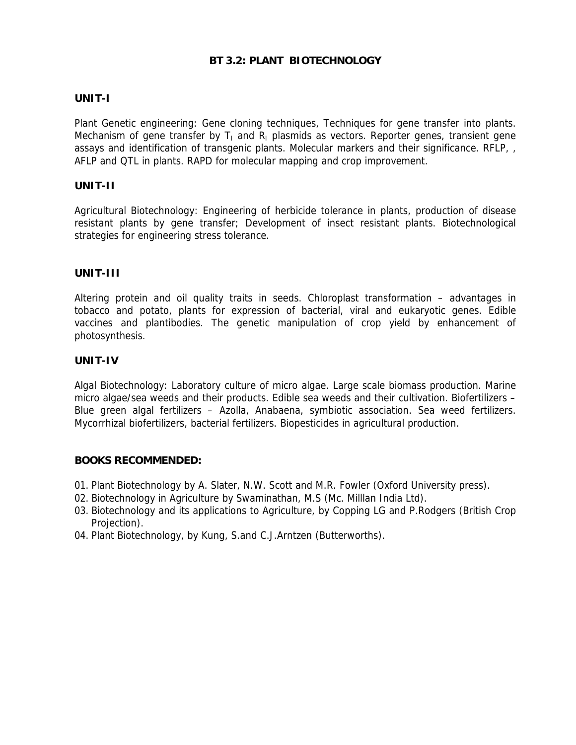## **BT 3.2: PLANT BIOTECHNOLOGY**

## **UNIT-I**

Plant Genetic engineering: Gene cloning techniques, Techniques for gene transfer into plants. Mechanism of gene transfer by  $T_1$  and  $R_1$  plasmids as vectors. Reporter genes, transient gene assays and identification of transgenic plants. Molecular markers and their significance. RFLP, , AFLP and QTL in plants. RAPD for molecular mapping and crop improvement.

### **UNIT-II**

Agricultural Biotechnology: Engineering of herbicide tolerance in plants, production of disease resistant plants by gene transfer; Development of insect resistant plants. Biotechnological strategies for engineering stress tolerance.

### **UNIT-III**

Altering protein and oil quality traits in seeds. Chloroplast transformation – advantages in tobacco and potato, plants for expression of bacterial, viral and eukaryotic genes. Edible vaccines and plantibodies. The genetic manipulation of crop yield by enhancement of photosynthesis.

### **UNIT-IV**

Algal Biotechnology: Laboratory culture of micro algae. Large scale biomass production. Marine micro algae/sea weeds and their products. Edible sea weeds and their cultivation. Biofertilizers – Blue green algal fertilizers – Azolla, Anabaena, symbiotic association. Sea weed fertilizers. Mycorrhizal biofertilizers, bacterial fertilizers. Biopesticides in agricultural production.

- 01. Plant Biotechnology by A. Slater, N.W. Scott and M.R. Fowler (Oxford University press).
- 02. Biotechnology in Agriculture by Swaminathan, M.S (Mc. Milllan India Ltd).
- 03. Biotechnology and its applications to Agriculture, by Copping LG and P.Rodgers (British Crop Projection).
- 04. Plant Biotechnology, by Kung, S.and C.J.Arntzen (Butterworths).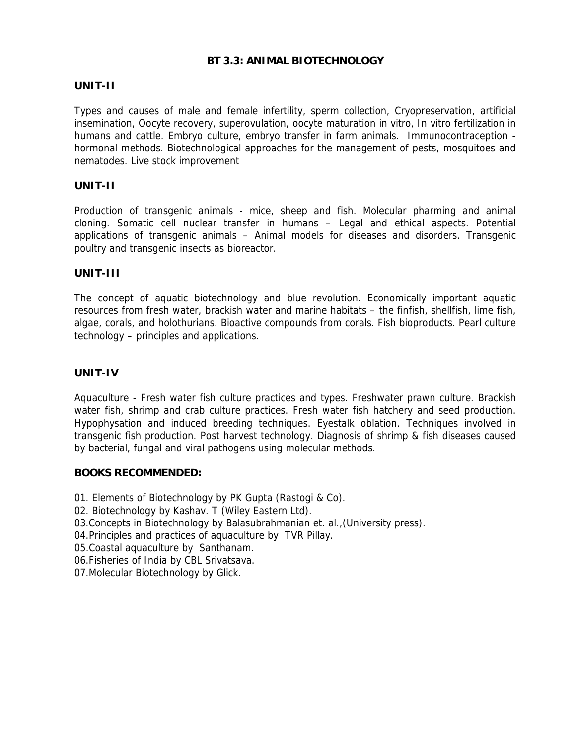## **BT 3.3: ANIMAL BIOTECHNOLOGY**

### **UNIT-II**

Types and causes of male and female infertility, sperm collection, Cryopreservation, artificial insemination, Oocyte recovery, superovulation, oocyte maturation in vitro, In vitro fertilization in humans and cattle. Embryo culture, embryo transfer in farm animals. Immunocontraception hormonal methods. Biotechnological approaches for the management of pests, mosquitoes and nematodes. Live stock improvement

### **UNIT-II**

Production of transgenic animals - mice, sheep and fish. Molecular pharming and animal cloning. Somatic cell nuclear transfer in humans – Legal and ethical aspects. Potential applications of transgenic animals – Animal models for diseases and disorders. Transgenic poultry and transgenic insects as bioreactor.

### **UNIT-III**

The concept of aquatic biotechnology and blue revolution. Economically important aquatic resources from fresh water, brackish water and marine habitats – the finfish, shellfish, lime fish, algae, corals, and holothurians. Bioactive compounds from corals. Fish bioproducts. Pearl culture technology – principles and applications.

### **UNIT-IV**

Aquaculture - Fresh water fish culture practices and types. Freshwater prawn culture. Brackish water fish, shrimp and crab culture practices. Fresh water fish hatchery and seed production. Hypophysation and induced breeding techniques. Eyestalk oblation. Techniques involved in transgenic fish production. Post harvest technology. Diagnosis of shrimp & fish diseases caused by bacterial, fungal and viral pathogens using molecular methods.

### **BOOKS RECOMMENDED:**

01. Elements of Biotechnology by PK Gupta (Rastogi & Co).

- 02. Biotechnology by Kashav. T (Wiley Eastern Ltd).
- 03. Concepts in Biotechnology by Balasubrahmanian et. al., (University press).
- 04.Principles and practices of aquaculture by TVR Pillay.
- 05.Coastal aquaculture by Santhanam.
- 06.Fisheries of India by CBL Srivatsava.
- 07.Molecular Biotechnology by Glick.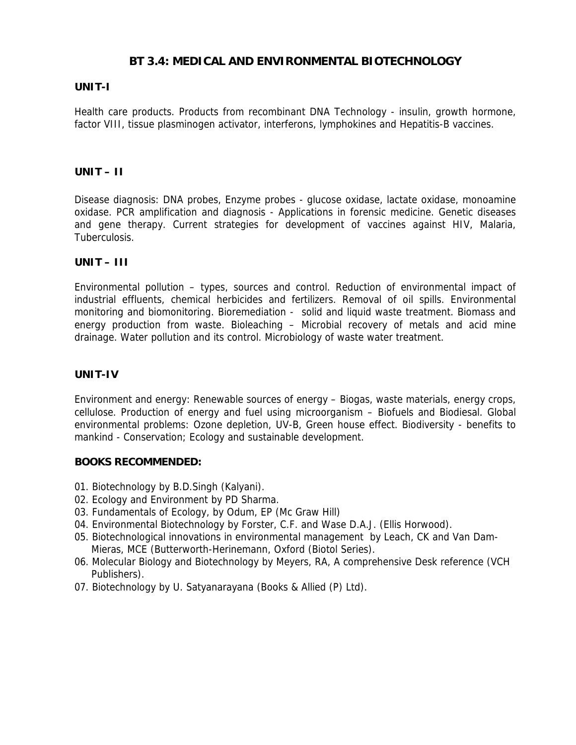# **BT 3.4: MEDICAL AND ENVIRONMENTAL BIOTECHNOLOGY**

## **UNIT-I**

Health care products. Products from recombinant DNA Technology - insulin, growth hormone, factor VIII, tissue plasminogen activator, interferons, lymphokines and Hepatitis-B vaccines.

## **UNIT – II**

Disease diagnosis: DNA probes, Enzyme probes - glucose oxidase, lactate oxidase, monoamine oxidase. PCR amplification and diagnosis - Applications in forensic medicine. Genetic diseases and gene therapy. Current strategies for development of vaccines against HIV, Malaria, Tuberculosis.

### **UNIT – III**

Environmental pollution – types, sources and control. Reduction of environmental impact of industrial effluents, chemical herbicides and fertilizers. Removal of oil spills. Environmental monitoring and biomonitoring. Bioremediation - solid and liquid waste treatment. Biomass and energy production from waste. Bioleaching – Microbial recovery of metals and acid mine drainage. Water pollution and its control. Microbiology of waste water treatment.

## **UNIT-IV**

Environment and energy: Renewable sources of energy – Biogas, waste materials, energy crops, cellulose. Production of energy and fuel using microorganism – Biofuels and Biodiesal. Global environmental problems: Ozone depletion, UV-B, Green house effect. Biodiversity - benefits to mankind - Conservation; Ecology and sustainable development.

- 01. Biotechnology by B.D.Singh (Kalyani).
- 02. Ecology and Environment by PD Sharma.
- 03. Fundamentals of Ecology, by Odum, EP (Mc Graw Hill)
- 04. Environmental Biotechnology by Forster, C.F. and Wase D.A.J. (Ellis Horwood).
- 05. Biotechnological innovations in environmental management by Leach, CK and Van Dam-Mieras, MCE (Butterworth-Herinemann, Oxford (Biotol Series).
- 06. Molecular Biology and Biotechnology by Meyers, RA, A comprehensive Desk reference (VCH Publishers).
- 07. Biotechnology by U. Satyanarayana (Books & Allied (P) Ltd).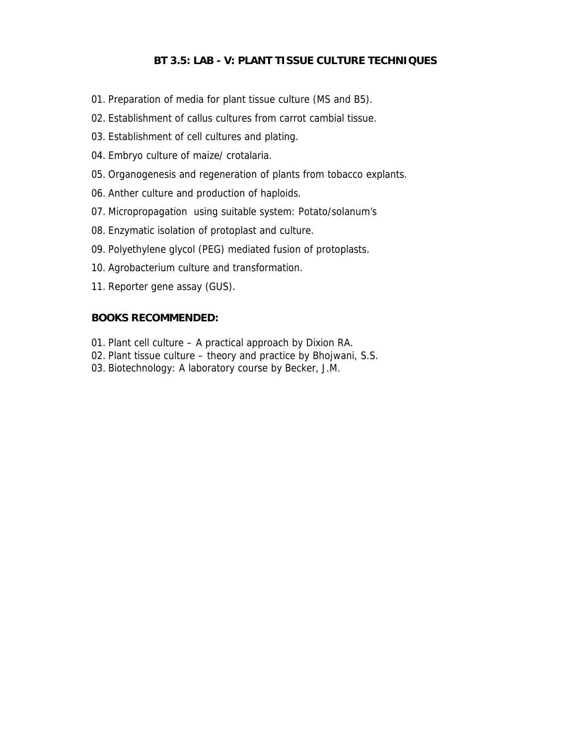## **BT 3.5: LAB - V: PLANT TISSUE CULTURE TECHNIQUES**

- 01. Preparation of media for plant tissue culture (MS and B5).
- 02. Establishment of callus cultures from carrot cambial tissue.
- 03. Establishment of cell cultures and plating.
- 04. Embryo culture of maize/ crotalaria.
- 05. Organogenesis and regeneration of plants from tobacco explants.
- 06. Anther culture and production of haploids.
- 07. Micropropagation using suitable system: Potato/solanum's
- 08. Enzymatic isolation of protoplast and culture.
- 09. Polyethylene glycol (PEG) mediated fusion of protoplasts.
- 10. Agrobacterium culture and transformation.
- 11. Reporter gene assay (GUS).

- 01. Plant cell culture A practical approach by Dixion RA.
- 02. Plant tissue culture theory and practice by Bhojwani, S.S.
- 03. Biotechnology: A laboratory course by Becker, J.M.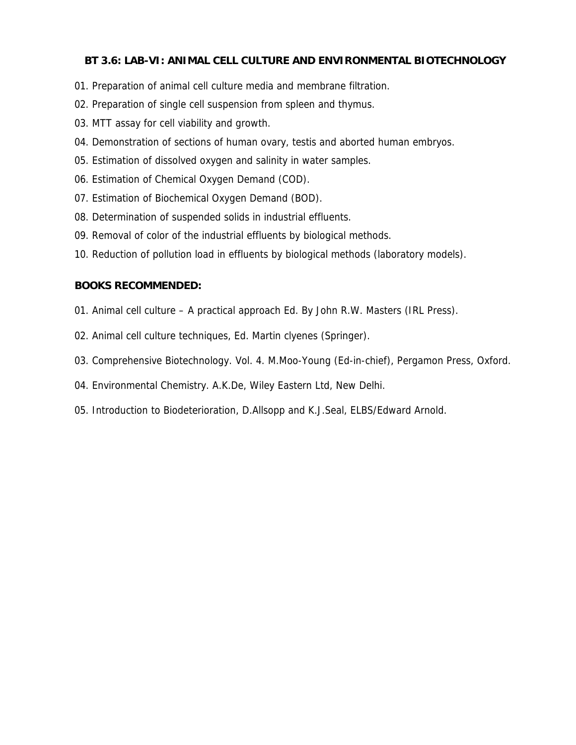## **BT 3.6: LAB-VI: ANIMAL CELL CULTURE AND ENVIRONMENTAL BIOTECHNOLOGY**

- 01. Preparation of animal cell culture media and membrane filtration.
- 02. Preparation of single cell suspension from spleen and thymus.
- 03. MTT assay for cell viability and growth.
- 04. Demonstration of sections of human ovary, testis and aborted human embryos.
- 05. Estimation of dissolved oxygen and salinity in water samples.
- 06. Estimation of Chemical Oxygen Demand (COD).
- 07. Estimation of Biochemical Oxygen Demand (BOD).
- 08. Determination of suspended solids in industrial effluents.
- 09. Removal of color of the industrial effluents by biological methods.
- 10. Reduction of pollution load in effluents by biological methods (laboratory models).

- 01. Animal cell culture A practical approach Ed. By John R.W. Masters (IRL Press).
- 02. Animal cell culture techniques, Ed. Martin clyenes (Springer).
- 03. Comprehensive Biotechnology. Vol. 4. M.Moo-Young (Ed-in-chief), Pergamon Press, Oxford.
- 04. Environmental Chemistry. A.K.De, Wiley Eastern Ltd, New Delhi.
- 05. Introduction to Biodeterioration, D.Allsopp and K.J.Seal, ELBS/Edward Arnold.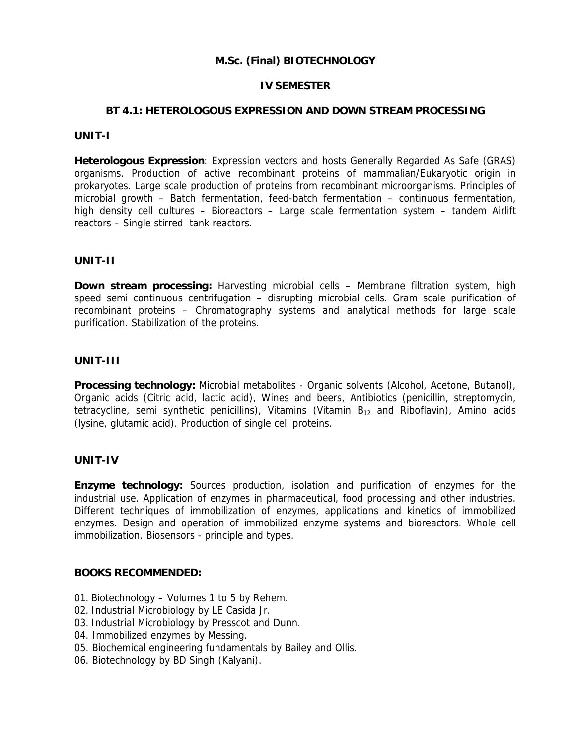## **M.Sc. (Final) BIOTECHNOLOGY**

### **IV SEMESTER**

## **BT 4.1: HETEROLOGOUS EXPRESSION AND DOWN STREAM PROCESSING**

#### **UNIT-I**

**Heterologous Expression**: Expression vectors and hosts Generally Regarded As Safe (GRAS) organisms. Production of active recombinant proteins of mammalian/Eukaryotic origin in prokaryotes. Large scale production of proteins from recombinant microorganisms. Principles of microbial growth – Batch fermentation, feed-batch fermentation – continuous fermentation, high density cell cultures – Bioreactors – Large scale fermentation system – tandem Airlift reactors – Single stirred tank reactors.

### **UNIT-II**

**Down stream processing:** Harvesting microbial cells – Membrane filtration system, high speed semi continuous centrifugation – disrupting microbial cells. Gram scale purification of recombinant proteins – Chromatography systems and analytical methods for large scale purification. Stabilization of the proteins.

#### **UNIT-III**

**Processing technology:** Microbial metabolites - Organic solvents (Alcohol, Acetone, Butanol), Organic acids (Citric acid, lactic acid), Wines and beers, Antibiotics (penicillin, streptomycin, tetracycline, semi synthetic penicillins), Vitamins (Vitamin  $B_{12}$  and Riboflavin), Amino acids (lysine, glutamic acid). Production of single cell proteins.

## **UNIT-IV**

**Enzyme technology:** Sources production, isolation and purification of enzymes for the industrial use. Application of enzymes in pharmaceutical, food processing and other industries. Different techniques of immobilization of enzymes, applications and kinetics of immobilized enzymes. Design and operation of immobilized enzyme systems and bioreactors. Whole cell immobilization. Biosensors - principle and types.

- 01. Biotechnology Volumes 1 to 5 by Rehem.
- 02. Industrial Microbiology by LE Casida Jr.
- 03. Industrial Microbiology by Presscot and Dunn.
- 04. Immobilized enzymes by Messing.
- 05. Biochemical engineering fundamentals by Bailey and Ollis.
- 06. Biotechnology by BD Singh (Kalyani).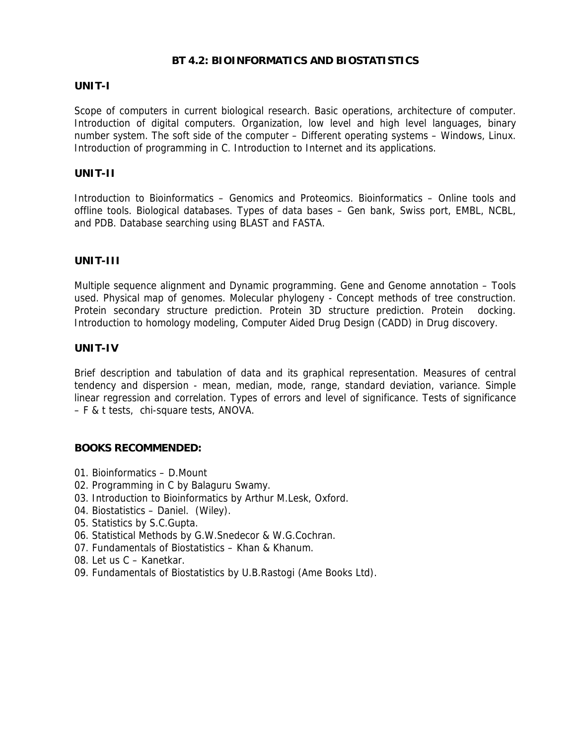## **BT 4.2: BIOINFORMATICS AND BIOSTATISTICS**

### **UNIT-I**

Scope of computers in current biological research. Basic operations, architecture of computer. Introduction of digital computers. Organization, low level and high level languages, binary number system. The soft side of the computer – Different operating systems – Windows, Linux. Introduction of programming in C. Introduction to Internet and its applications.

### **UNIT-II**

Introduction to Bioinformatics – Genomics and Proteomics. Bioinformatics – Online tools and offline tools. Biological databases. Types of data bases – Gen bank, Swiss port, EMBL, NCBL, and PDB. Database searching using BLAST and FASTA.

## **UNIT-III**

Multiple sequence alignment and Dynamic programming. Gene and Genome annotation – Tools used. Physical map of genomes. Molecular phylogeny - Concept methods of tree construction. Protein secondary structure prediction. Protein 3D structure prediction. Protein docking. Introduction to homology modeling, Computer Aided Drug Design (CADD) in Drug discovery.

## **UNIT-IV**

Brief description and tabulation of data and its graphical representation. Measures of central tendency and dispersion - mean, median, mode, range, standard deviation, variance. Simple linear regression and correlation. Types of errors and level of significance. Tests of significance – F & t tests, chi-square tests, ANOVA.

- 01. Bioinformatics D.Mount
- 02. Programming in C by Balaguru Swamy.
- 03. Introduction to Bioinformatics by Arthur M.Lesk, Oxford.
- 04. Biostatistics Daniel. (Wiley).
- 05. Statistics by S.C.Gupta.
- 06. Statistical Methods by G.W.Snedecor & W.G.Cochran.
- 07. Fundamentals of Biostatistics Khan & Khanum.
- 08. Let us C Kanetkar.
- 09. Fundamentals of Biostatistics by U.B.Rastogi (Ame Books Ltd).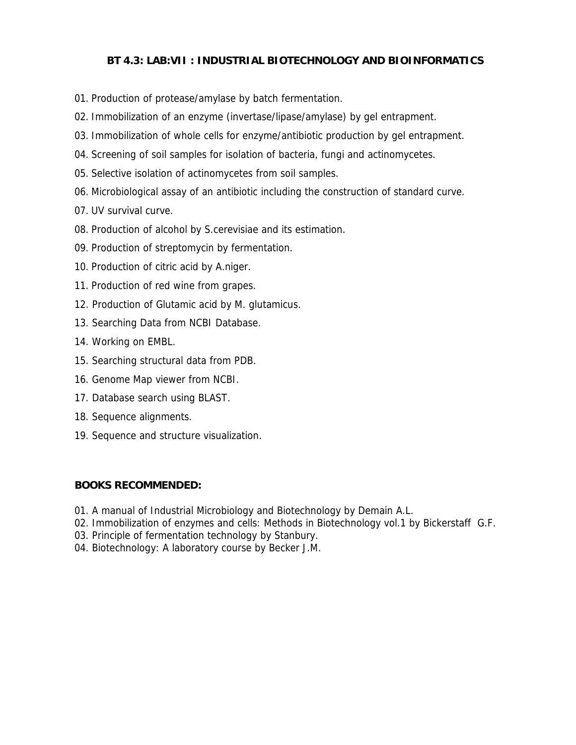# **BT 4.3: LAB:VII : INDUSTRIAL BIOTECHNOLOGY AND BIOINFORMATICS**

- 01. Production of protease/amylase by batch fermentation.
- 02. Immobilization of an enzyme (invertase/lipase/amylase) by gel entrapment.
- 03. Immobilization of whole cells for enzyme/antibiotic production by gel entrapment.
- 04. Screening of soil samples for isolation of bacteria, fungi and actinomycetes.
- 05. Selective isolation of actinomycetes from soil samples.
- 06. Microbiological assay of an antibiotic including the construction of standard curve.
- 07. UV survival curve.
- 08. Production of alcohol by S.cerevisiae and its estimation.
- 09. Production of streptomycin by fermentation.
- 10. Production of citric acid by A.niger.
- 11. Production of red wine from grapes.
- 12. Production of Glutamic acid by M. glutamicus.
- 13. Searching Data from NCBI Database.
- 14. Working on EMBL.
- 15. Searching structural data from PDB.
- 16. Genome Map viewer from NCBI.
- 17. Database search using BLAST.
- 18. Sequence alignments.
- 19. Sequence and structure visualization.

- 01. A manual of Industrial Microbiology and Biotechnology by Demain A.L.
- 02. Immobilization of enzymes and cells: Methods in Biotechnology vol.1 by Bickerstaff G.F.
- 03. Principle of fermentation technology by Stanbury.
- 04. Biotechnology: A laboratory course by Becker J.M.